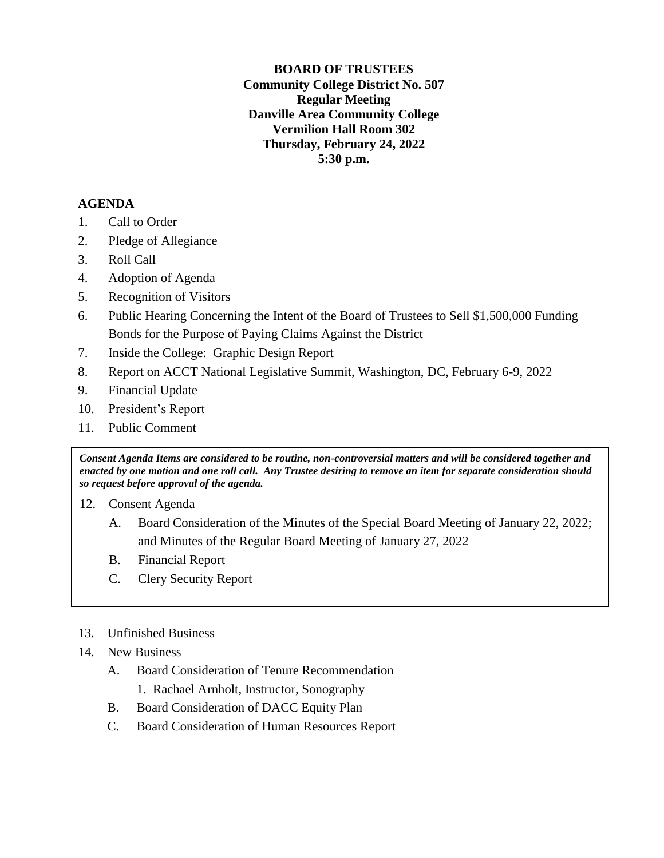**BOARD OF TRUSTEES Community College District No. 507 Regular Meeting Danville Area Community College Vermilion Hall Room 302 Thursday, February 24, 2022 5:30 p.m.**

## **AGENDA**

- 1. Call to Order
- 2. Pledge of Allegiance
- 3. Roll Call
- 4. Adoption of Agenda
- 5. Recognition of Visitors
- 6. Public Hearing Concerning the Intent of the Board of Trustees to Sell \$1,500,000 Funding Bonds for the Purpose of Paying Claims Against the District
- 7. Inside the College: Graphic Design Report
- 8. Report on ACCT National Legislative Summit, Washington, DC, February 6-9, 2022
- 9. Financial Update
- 10. President's Report
- 11. Public Comment

*Consent Agenda Items are considered to be routine, non-controversial matters and will be considered together and enacted by one motion and one roll call. Any Trustee desiring to remove an item for separate consideration should so request before approval of the agenda.*

- 12. Consent Agenda
	- A. Board Consideration of the Minutes of the Special Board Meeting of January 22, 2022; and Minutes of the Regular Board Meeting of January 27, 2022
	- B. Financial Report
	- C. Clery Security Report

## 13. Unfinished Business

- 14. New Business
	- A. Board Consideration of Tenure Recommendation
		- 1. Rachael Arnholt, Instructor, Sonography
	- B. Board Consideration of DACC Equity Plan
	- C. Board Consideration of Human Resources Report